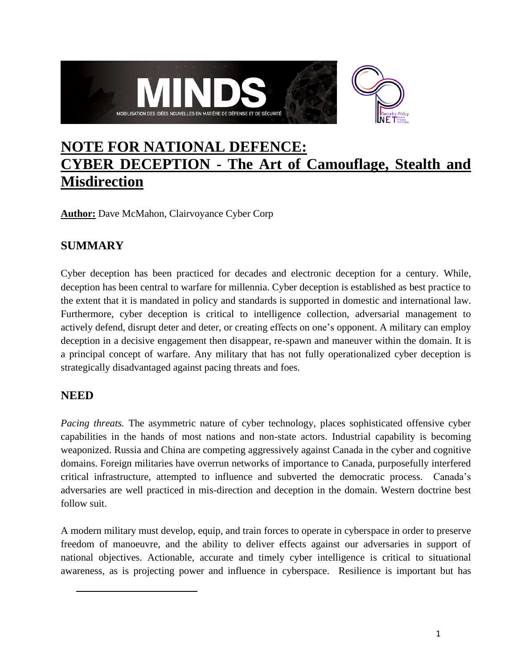

# **NOTE FOR NATIONAL DEFENCE: CYBER DECEPTION - The Art of Camouflage, Stealth and Misdirection**

**Author:** Dave McMahon, Clairvoyance Cyber Corp

# **SUMMARY**

Cyber deception has been practiced for decades and electronic deception for a century. While, deception has been central to warfare for millennia. Cyber deception is established as best practice to the extent that it is mandated in policy and standards is supported in domestic and international law. Furthermore, cyber deception is critical to intelligence collection, adversarial management to actively defend, disrupt deter and deter, or creating effects on one's opponent. A military can employ deception in a decisive engagement then disappear, re-spawn and maneuver within the domain. It is a principal concept of warfare. Any military that has not fully operationalized cyber deception is strategically disadvantaged against pacing threats and foes.

# **NEED**

*Pacing threats.* The asymmetric nature of cyber technology, places sophisticated offensive cyber capabilities in the hands of most nations and non-state actors. Industrial capability is becoming weaponized. Russia and China are competing aggressively against Canada in the cyber and cognitive domains. Foreign militaries have overrun networks of importance to Canada, purposefully interfered critical infrastructure, attempted to influence and subverted the democratic process. Canada's adversaries are well practiced in mis-direction and deception in the domain. Western doctrine best follow suit.

A modern military must develop, equip, and train forces to operate in cyberspace in order to preserve freedom of manoeuvre, and the ability to deliver effects against our adversaries in support of national objectives. Actionable, accurate and timely cyber intelligence is critical to situational awareness, as is projecting power and influence in cyberspace. Resilience is important but has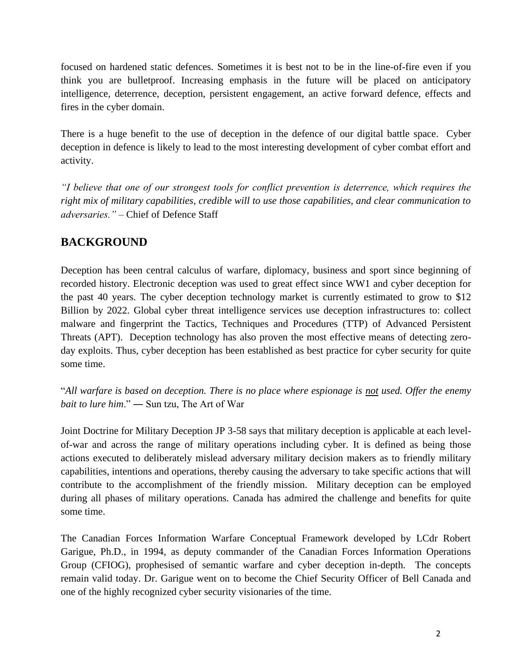focused on hardened static defences. Sometimes it is best not to be in the line-of-fire even if you think you are bulletproof. Increasing emphasis in the future will be placed on anticipatory intelligence, deterrence, deception, persistent engagement, an active forward defence, effects and fires in the cyber domain.

There is a huge benefit to the use of deception in the defence of our digital battle space. Cyber deception in defence is likely to lead to the most interesting development of cyber combat effort and activity.

*"I believe that one of our strongest tools for conflict prevention is deterrence, which requires the right mix of military capabilities, credible will to use those capabilities, and clear communication to adversaries."* – Chief of Defence Staff

# **BACKGROUND**

Deception has been central calculus of warfare, diplomacy, business and sport since beginning of recorded history. Electronic deception was used to great effect since WW1 and cyber deception for the past 40 years. The cyber deception technology market is currently estimated to grow to \$12 Billion by 2022. Global cyber threat intelligence services use deception infrastructures to: collect malware and fingerprint the Tactics, Techniques and Procedures (TTP) of Advanced Persistent Threats (APT). Deception technology has also proven the most effective means of detecting zeroday exploits. Thus, cyber deception has been established as best practice for cyber security for quite some time.

"*All warfare is based on deception. There is no place where espionage is not used. Offer the enemy bait to lure him*." ― Sun tzu, The Art of War

Joint Doctrine for Military Deception JP 3-58 says that military deception is applicable at each levelof-war and across the range of military operations including cyber. It is defined as being those actions executed to deliberately mislead adversary military decision makers as to friendly military capabilities, intentions and operations, thereby causing the adversary to take specific actions that will contribute to the accomplishment of the friendly mission. Military deception can be employed during all phases of military operations. Canada has admired the challenge and benefits for quite some time.

The Canadian Forces Information Warfare Conceptual Framework developed by LCdr Robert Garigue, Ph.D., in 1994, as deputy commander of the Canadian Forces Information Operations Group (CFIOG), prophesised of semantic warfare and cyber deception in-depth. The concepts remain valid today. Dr. Garigue went on to become the Chief Security Officer of Bell Canada and one of the highly recognized cyber security visionaries of the time.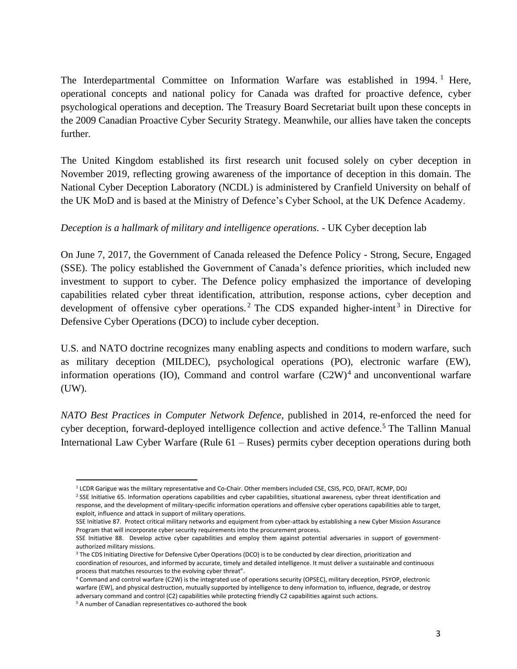The Interdepartmental Committee on Information Warfare was established in 1994.<sup>1</sup> Here, operational concepts and national policy for Canada was drafted for proactive defence, cyber psychological operations and deception. The Treasury Board Secretariat built upon these concepts in the 2009 Canadian Proactive Cyber Security Strategy. Meanwhile, our allies have taken the concepts further.

The United Kingdom established its first research unit focused solely on cyber deception in November 2019, reflecting growing awareness of the importance of deception in this domain. The National Cyber Deception Laboratory (NCDL) is administered by Cranfield University on behalf of the UK MoD and is based at the Ministry of Defence's Cyber School, at the UK Defence Academy.

#### *Deception is a hallmark of military and intelligence operations.* - UK Cyber deception lab

On June 7, 2017, the Government of Canada released the Defence Policy - Strong, Secure, Engaged (SSE). The policy established the Government of Canada's defence priorities, which included new investment to support to cyber. The Defence policy emphasized the importance of developing capabilities related cyber threat identification, attribution, response actions, cyber deception and development of offensive cyber operations.<sup>2</sup> The CDS expanded higher-intent<sup>3</sup> in Directive for Defensive Cyber Operations (DCO) to include cyber deception.

U.S. and NATO doctrine recognizes many enabling aspects and conditions to modern warfare, such as military deception (MILDEC), psychological operations (PO), electronic warfare (EW), information operations (IO), Command and control warfare  $(C2W)^4$  and unconventional warfare (UW).

*NATO Best Practices in Computer Network Defence*, published in 2014, re-enforced the need for cyber deception, forward-deployed intelligence collection and active defence.<sup>5</sup> The Tallinn Manual International Law Cyber Warfare (Rule 61 – Ruses) permits cyber deception operations during both

SSE Initiative 87. Protect critical military networks and equipment from cyber-attack by establishing a new Cyber Mission Assurance Program that will incorporate cyber security requirements into the procurement process.

<sup>1</sup> LCDR Garigue was the military representative and Co-Chair. Other members included CSE, CSIS, PCO, DFAIT, RCMP, DOJ

<sup>&</sup>lt;sup>2</sup> SSE Initiative 65. Information operations capabilities and cyber capabilities, situational awareness, cyber threat identification and response, and the development of military-specific information operations and offensive cyber operations capabilities able to target, exploit, influence and attack in support of military operations.

SSE Initiative 88. Develop active cyber capabilities and employ them against potential adversaries in support of governmentauthorized military missions.

<sup>&</sup>lt;sup>3</sup> The CDS Initiating Directive for Defensive Cyber Operations (DCO) is to be conducted by clear direction, prioritization and coordination of resources, and informed by accurate, timely and detailed intelligence. It must deliver a sustainable and continuous process that matches resources to the evolving cyber threat".

<sup>4</sup> Command and control warfare (C2W) is the integrated use of operations security (OPSEC), military deception, PSYOP, electronic warfare (EW), and physical destruction, mutually supported by intelligence to deny information to, influence, degrade, or destroy adversary command and control (C2) capabilities while protecting friendly C2 capabilities against such actions. <sup>5</sup> A number of Canadian representatives co-authored the book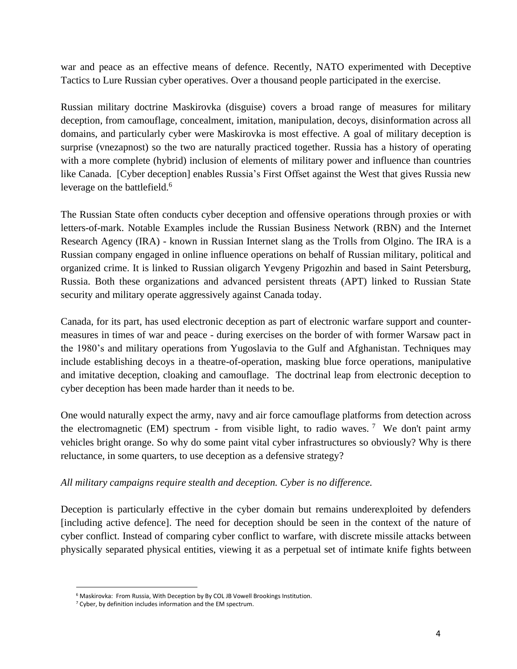war and peace as an effective means of defence. Recently, NATO experimented with Deceptive Tactics to Lure Russian cyber operatives. Over a thousand people participated in the exercise.

Russian military doctrine Maskirovka (disguise) covers a broad range of measures for military deception, from camouflage, concealment, imitation, manipulation, decoys, disinformation across all domains, and particularly cyber were Maskirovka is most effective. A goal of military deception is surprise (vnezapnost) so the two are naturally practiced together. Russia has a history of operating with a more complete (hybrid) inclusion of elements of military power and influence than countries like Canada. [Cyber deception] enables Russia's First Offset against the West that gives Russia new leverage on the battlefield.<sup>6</sup>

The Russian State often conducts cyber deception and offensive operations through proxies or with letters-of-mark. Notable Examples include the Russian Business Network (RBN) and the Internet Research Agency (IRA) - known in Russian Internet slang as the Trolls from Olgino. The IRA is a Russian company engaged in online influence operations on behalf of Russian military, political and organized crime. It is linked to Russian oligarch Yevgeny Prigozhin and based in Saint Petersburg, Russia. Both these organizations and advanced persistent threats (APT) linked to Russian State security and military operate aggressively against Canada today.

Canada, for its part, has used electronic deception as part of electronic warfare support and countermeasures in times of war and peace - during exercises on the border of with former Warsaw pact in the 1980's and military operations from Yugoslavia to the Gulf and Afghanistan. Techniques may include establishing decoys in a theatre-of-operation, masking blue force operations, manipulative and imitative deception, cloaking and camouflage. The doctrinal leap from electronic deception to cyber deception has been made harder than it needs to be.

One would naturally expect the army, navy and air force camouflage platforms from detection across the electromagnetic (EM) spectrum - from visible light, to radio waves.<sup>7</sup> We don't paint army vehicles bright orange. So why do some paint vital cyber infrastructures so obviously? Why is there reluctance, in some quarters, to use deception as a defensive strategy?

#### *All military campaigns require stealth and deception. Cyber is no difference.*

Deception is particularly effective in the cyber domain but remains underexploited by defenders [including active defence]. The need for deception should be seen in the context of the nature of cyber conflict. Instead of comparing cyber conflict to warfare, with discrete missile attacks between physically separated physical entities, viewing it as a perpetual set of intimate knife fights between

<sup>&</sup>lt;sup>6</sup> Maskirovka: From Russia, With Deception by By COL JB Vowell Brookings Institution.

<sup>7</sup> Cyber, by definition includes information and the EM spectrum.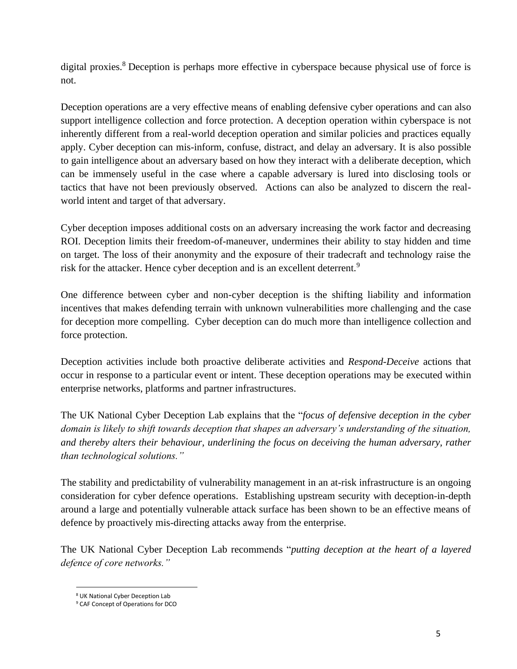digital proxies. <sup>8</sup> Deception is perhaps more effective in cyberspace because physical use of force is not.

Deception operations are a very effective means of enabling defensive cyber operations and can also support intelligence collection and force protection. A deception operation within cyberspace is not inherently different from a real-world deception operation and similar policies and practices equally apply. Cyber deception can mis-inform, confuse, distract, and delay an adversary. It is also possible to gain intelligence about an adversary based on how they interact with a deliberate deception, which can be immensely useful in the case where a capable adversary is lured into disclosing tools or tactics that have not been previously observed. Actions can also be analyzed to discern the realworld intent and target of that adversary.

Cyber deception imposes additional costs on an adversary increasing the work factor and decreasing ROI. Deception limits their freedom-of-maneuver, undermines their ability to stay hidden and time on target. The loss of their anonymity and the exposure of their tradecraft and technology raise the risk for the attacker. Hence cyber deception and is an excellent deterrent.<sup>9</sup>

One difference between cyber and non-cyber deception is the shifting liability and information incentives that makes defending terrain with unknown vulnerabilities more challenging and the case for deception more compelling. Cyber deception can do much more than intelligence collection and force protection.

Deception activities include both proactive deliberate activities and *Respond-Deceive* actions that occur in response to a particular event or intent. These deception operations may be executed within enterprise networks, platforms and partner infrastructures.

The UK National Cyber Deception Lab explains that the "*focus of defensive deception in the cyber domain is likely to shift towards deception that shapes an adversary's understanding of the situation, and thereby alters their behaviour, underlining the focus on deceiving the human adversary, rather than technological solutions."*

The stability and predictability of vulnerability management in an at-risk infrastructure is an ongoing consideration for cyber defence operations. Establishing upstream security with deception-in-depth around a large and potentially vulnerable attack surface has been shown to be an effective means of defence by proactively mis-directing attacks away from the enterprise.

The UK National Cyber Deception Lab recommends "*putting deception at the heart of a layered defence of core networks."*

<sup>8</sup> UK National Cyber Deception Lab

<sup>9</sup> CAF Concept of Operations for DCO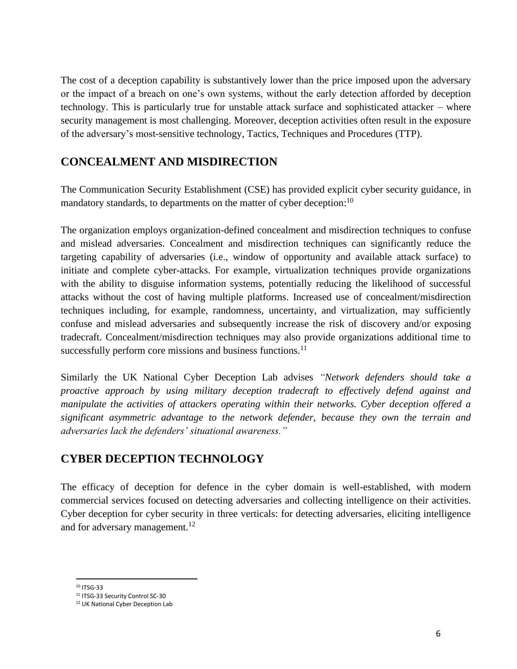The cost of a deception capability is substantively lower than the price imposed upon the adversary or the impact of a breach on one's own systems, without the early detection afforded by deception technology. This is particularly true for unstable attack surface and sophisticated attacker – where security management is most challenging. Moreover, deception activities often result in the exposure of the adversary's most-sensitive technology, Tactics, Techniques and Procedures (TTP).

#### **CONCEALMENT AND MISDIRECTION**

The Communication Security Establishment (CSE) has provided explicit cyber security guidance, in mandatory standards, to departments on the matter of cyber deception:<sup>10</sup>

The organization employs organization-defined concealment and misdirection techniques to confuse and mislead adversaries. Concealment and misdirection techniques can significantly reduce the targeting capability of adversaries (i.e., window of opportunity and available attack surface) to initiate and complete cyber-attacks. For example, virtualization techniques provide organizations with the ability to disguise information systems, potentially reducing the likelihood of successful attacks without the cost of having multiple platforms. Increased use of concealment/misdirection techniques including, for example, randomness, uncertainty, and virtualization, may sufficiently confuse and mislead adversaries and subsequently increase the risk of discovery and/or exposing tradecraft. Concealment/misdirection techniques may also provide organizations additional time to successfully perform core missions and business functions.<sup>11</sup>

Similarly the UK National Cyber Deception Lab advises *"Network defenders should take a proactive approach by using military deception tradecraft to effectively defend against and manipulate the activities of attackers operating within their networks. Cyber deception offered a significant asymmetric advantage to the network defender, because they own the terrain and adversaries lack the defenders' situational awareness."*

# **CYBER DECEPTION TECHNOLOGY**

The efficacy of deception for defence in the cyber domain is well-established, with modern commercial services focused on detecting adversaries and collecting intelligence on their activities. Cyber deception for cyber security in three verticals: for detecting adversaries, eliciting intelligence and for adversary management.<sup>12</sup>

<sup>10</sup> ITSG-33

<sup>11</sup> ITSG-33 Security Control SC-30

<sup>12</sup> UK National Cyber Deception Lab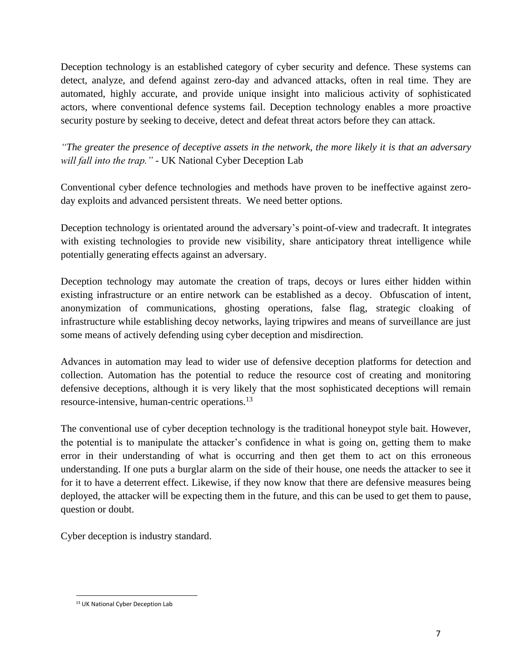Deception technology is an established category of cyber security and defence. These systems can detect, analyze, and defend against zero-day and advanced attacks, often in real time. They are automated, highly accurate, and provide unique insight into malicious activity of sophisticated actors, where conventional defence systems fail. Deception technology enables a more proactive security posture by seeking to deceive, detect and defeat threat actors before they can attack.

*"The greater the presence of deceptive assets in the network, the more likely it is that an adversary will fall into the trap."* - UK National Cyber Deception Lab

Conventional cyber defence technologies and methods have proven to be ineffective against zeroday exploits and advanced persistent threats. We need better options.

Deception technology is orientated around the adversary's point-of-view and tradecraft. It integrates with existing technologies to provide new visibility, share anticipatory threat intelligence while potentially generating effects against an adversary.

Deception technology may automate the creation of traps, decoys or lures either hidden within existing infrastructure or an entire network can be established as a decoy. Obfuscation of intent, anonymization of communications, ghosting operations, false flag, strategic cloaking of infrastructure while establishing decoy networks, laying tripwires and means of surveillance are just some means of actively defending using cyber deception and misdirection.

Advances in automation may lead to wider use of defensive deception platforms for detection and collection. Automation has the potential to reduce the resource cost of creating and monitoring defensive deceptions, although it is very likely that the most sophisticated deceptions will remain resource-intensive, human-centric operations.<sup>13</sup>

The conventional use of cyber deception technology is the traditional honeypot style bait. However, the potential is to manipulate the attacker's confidence in what is going on, getting them to make error in their understanding of what is occurring and then get them to act on this erroneous understanding. If one puts a burglar alarm on the side of their house, one needs the attacker to see it for it to have a deterrent effect. Likewise, if they now know that there are defensive measures being deployed, the attacker will be expecting them in the future, and this can be used to get them to pause, question or doubt.

Cyber deception is industry standard.

<sup>13</sup> UK National Cyber Deception Lab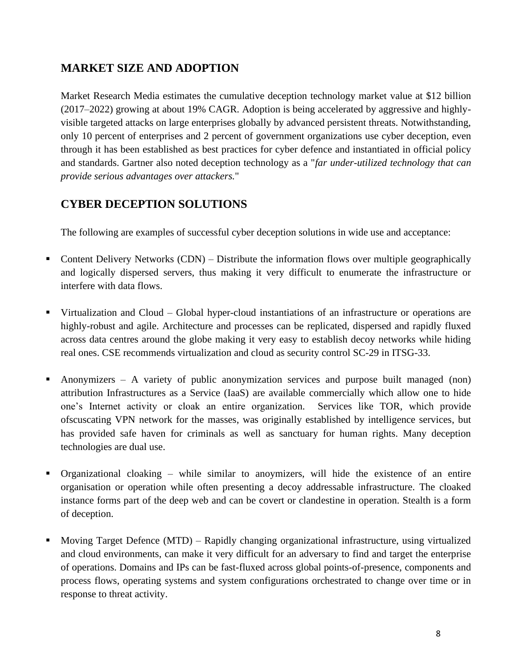# **MARKET SIZE AND ADOPTION**

Market Research Media estimates the cumulative deception technology market value at \$12 billion (2017–2022) growing at about 19% CAGR. Adoption is being accelerated by aggressive and highlyvisible targeted attacks on large enterprises globally by advanced persistent threats. Notwithstanding, only 10 percent of enterprises and 2 percent of government organizations use cyber deception, even through it has been established as best practices for cyber defence and instantiated in official policy and standards. Gartner also noted deception technology as a "*far under-utilized technology that can provide serious advantages over attackers.*"

# **CYBER DECEPTION SOLUTIONS**

The following are examples of successful cyber deception solutions in wide use and acceptance:

- Content Delivery Networks (CDN) Distribute the information flows over multiple geographically and logically dispersed servers, thus making it very difficult to enumerate the infrastructure or interfere with data flows.
- Virtualization and Cloud Global hyper-cloud instantiations of an infrastructure or operations are highly-robust and agile. Architecture and processes can be replicated, dispersed and rapidly fluxed across data centres around the globe making it very easy to establish decoy networks while hiding real ones. CSE recommends virtualization and cloud as security control SC-29 in ITSG-33.
- Anonymizers A variety of public anonymization services and purpose built managed (non) attribution Infrastructures as a Service (IaaS) are available commercially which allow one to hide one's Internet activity or cloak an entire organization. Services like TOR, which provide ofscuscating VPN network for the masses, was originally established by intelligence services, but has provided safe haven for criminals as well as sanctuary for human rights. Many deception technologies are dual use.
- Organizational cloaking while similar to anoymizers, will hide the existence of an entire organisation or operation while often presenting a decoy addressable infrastructure. The cloaked instance forms part of the deep web and can be covert or clandestine in operation. Stealth is a form of deception.
- Moving Target Defence (MTD) Rapidly changing organizational infrastructure, using virtualized and cloud environments, can make it very difficult for an adversary to find and target the enterprise of operations. Domains and IPs can be fast-fluxed across global points-of-presence, components and process flows, operating systems and system configurations orchestrated to change over time or in response to threat activity.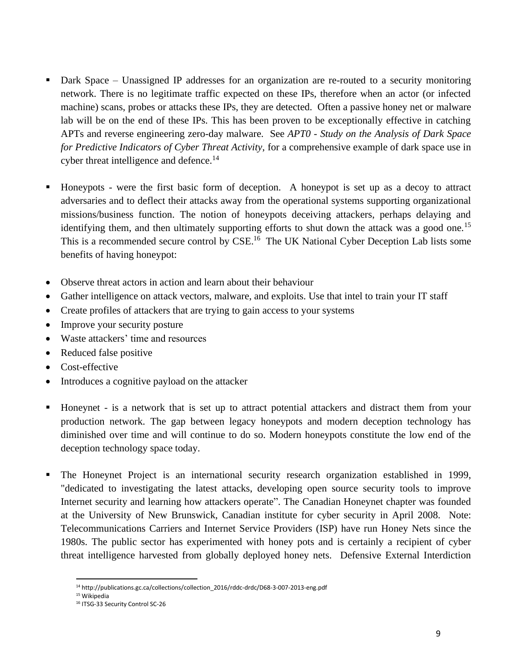- Dark Space Unassigned IP addresses for an organization are re-routed to a security monitoring network. There is no legitimate traffic expected on these IPs, therefore when an actor (or infected machine) scans, probes or attacks these IPs, they are detected. Often a passive honey net or malware lab will be on the end of these IPs. This has been proven to be exceptionally effective in catching APTs and reverse engineering zero-day malware. See *APT0* - *Study on the Analysis of Dark Space for Predictive Indicators of Cyber Threat Activity*, for a comprehensive example of dark space use in cyber threat intelligence and defence.<sup>14</sup>
- Honeypots were the first basic form of deception. A honeypot is set up as a decoy to attract adversaries and to deflect their attacks away from the operational systems supporting organizational missions/business function. The notion of honeypots deceiving attackers, perhaps delaying and identifying them, and then ultimately supporting efforts to shut down the attack was a good one.<sup>15</sup> This is a recommended secure control by CSE.<sup>16</sup> The UK National Cyber Deception Lab lists some benefits of having honeypot:
- Observe threat actors in action and learn about their behaviour
- Gather intelligence on attack vectors, malware, and exploits. Use that intel to train your IT staff
- Create profiles of attackers that are trying to gain access to your systems
- Improve your security posture
- Waste attackers' time and resources
- Reduced false positive
- Cost-effective
- Introduces a cognitive payload on the attacker
- Honeynet is a network that is set up to attract potential attackers and distract them from your production network. The gap between legacy honeypots and modern deception technology has diminished over time and will continue to do so. Modern honeypots constitute the low end of the deception technology space today.
- The Honeynet Project is an international security research organization established in 1999, "dedicated to investigating the latest attacks, developing open source security tools to improve Internet security and learning how attackers operate". The Canadian Honeynet chapter was founded at the University of New Brunswick, Canadian institute for cyber security in April 2008. Note: Telecommunications Carriers and Internet Service Providers (ISP) have run Honey Nets since the 1980s. The public sector has experimented with honey pots and is certainly a recipient of cyber threat intelligence harvested from globally deployed honey nets. Defensive External Interdiction

<sup>14</sup> http://publications.gc.ca/collections/collection\_2016/rddc-drdc/D68-3-007-2013-eng.pdf

<sup>15</sup> Wikipedia

<sup>16</sup> ITSG-33 Security Control SC-26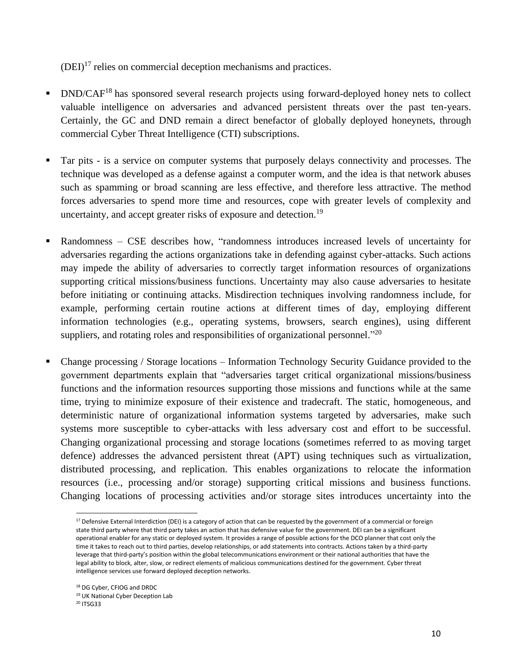$(DEI)^{17}$  relies on commercial deception mechanisms and practices.

- $DND/CAF<sup>18</sup>$  has sponsored several research projects using forward-deployed honey nets to collect valuable intelligence on adversaries and advanced persistent threats over the past ten-years. Certainly, the GC and DND remain a direct benefactor of globally deployed honeynets, through commercial Cyber Threat Intelligence (CTI) subscriptions.
- Tar pits is a service on computer systems that purposely delays connectivity and processes. The technique was developed as a defense against a computer worm, and the idea is that network abuses such as spamming or broad scanning are less effective, and therefore less attractive. The method forces adversaries to spend more time and resources, cope with greater levels of complexity and uncertainty, and accept greater risks of exposure and detection.<sup>19</sup>
- Randomness CSE describes how, "randomness introduces increased levels of uncertainty for adversaries regarding the actions organizations take in defending against cyber-attacks. Such actions may impede the ability of adversaries to correctly target information resources of organizations supporting critical missions/business functions. Uncertainty may also cause adversaries to hesitate before initiating or continuing attacks. Misdirection techniques involving randomness include, for example, performing certain routine actions at different times of day, employing different information technologies (e.g., operating systems, browsers, search engines), using different suppliers, and rotating roles and responsibilities of organizational personnel."<sup>20</sup>
- Change processing / Storage locations Information Technology Security Guidance provided to the government departments explain that "adversaries target critical organizational missions/business functions and the information resources supporting those missions and functions while at the same time, trying to minimize exposure of their existence and tradecraft. The static, homogeneous, and deterministic nature of organizational information systems targeted by adversaries, make such systems more susceptible to cyber-attacks with less adversary cost and effort to be successful. Changing organizational processing and storage locations (sometimes referred to as moving target defence) addresses the advanced persistent threat (APT) using techniques such as virtualization, distributed processing, and replication. This enables organizations to relocate the information resources (i.e., processing and/or storage) supporting critical missions and business functions. Changing locations of processing activities and/or storage sites introduces uncertainty into the

 $17$  Defensive External Interdiction (DEI) is a category of action that can be requested by the government of a commercial or foreign state third party where that third party takes an action that has defensive value for the government. DEI can be a significant operational enabler for any static or deployed system. It provides a range of possible actions for the DCO planner that cost only the time it takes to reach out to third parties, develop relationships, or add statements into contracts. Actions taken by a third-party leverage that third-party's position within the global telecommunications environment or their national authorities that have the legal ability to block, alter, slow, or redirect elements of malicious communications destined for the government. Cyber threat intelligence services use forward deployed deception networks.

<sup>18</sup> DG Cyber, CFIOG and DRDC

<sup>19</sup> UK National Cyber Deception Lab

<sup>20</sup> ITSG33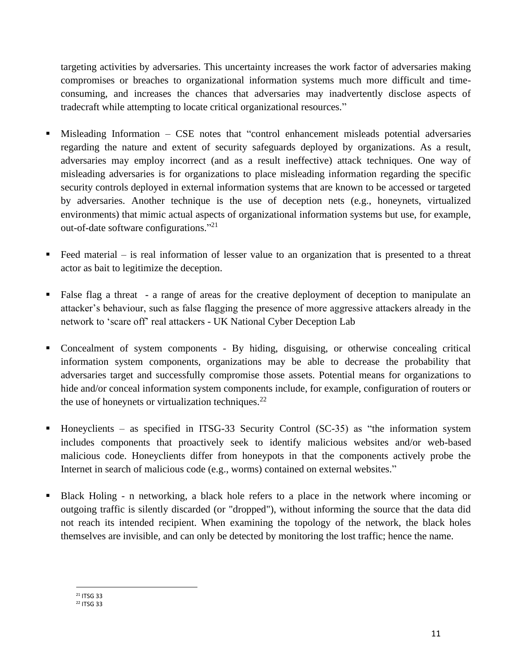targeting activities by adversaries. This uncertainty increases the work factor of adversaries making compromises or breaches to organizational information systems much more difficult and timeconsuming, and increases the chances that adversaries may inadvertently disclose aspects of tradecraft while attempting to locate critical organizational resources."

- Misleading Information  $-$  CSE notes that "control enhancement misleads potential adversaries regarding the nature and extent of security safeguards deployed by organizations. As a result, adversaries may employ incorrect (and as a result ineffective) attack techniques. One way of misleading adversaries is for organizations to place misleading information regarding the specific security controls deployed in external information systems that are known to be accessed or targeted by adversaries. Another technique is the use of deception nets (e.g., honeynets, virtualized environments) that mimic actual aspects of organizational information systems but use, for example, out-of-date software configurations."<sup>21</sup>
- Feed material  $-$  is real information of lesser value to an organization that is presented to a threat actor as bait to legitimize the deception.
- False flag a threat a range of areas for the creative deployment of deception to manipulate an attacker's behaviour, such as false flagging the presence of more aggressive attackers already in the network to 'scare off' real attackers - UK National Cyber Deception Lab
- Concealment of system components By hiding, disguising, or otherwise concealing critical information system components, organizations may be able to decrease the probability that adversaries target and successfully compromise those assets. Potential means for organizations to hide and/or conceal information system components include, for example, configuration of routers or the use of honeynets or virtualization techniques. $^{22}$
- Honeyclients as specified in ITSG-33 Security Control  $(SC-35)$  as "the information system includes components that proactively seek to identify malicious websites and/or web-based malicious code. Honeyclients differ from honeypots in that the components actively probe the Internet in search of malicious code (e.g., worms) contained on external websites."
- Black Holing n networking, a black hole refers to a place in the network where incoming or outgoing traffic is silently discarded (or "dropped"), without informing the source that the data did not reach its intended recipient. When examining the topology of the network, the black holes themselves are invisible, and can only be detected by monitoring the lost traffic; hence the name.

<sup>21</sup> ITSG 33 <sup>22</sup> ITSG 33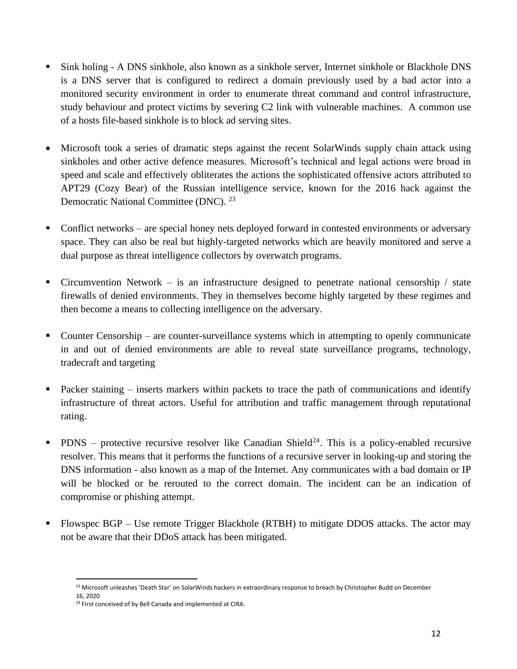- Sink holing A DNS sinkhole, also known as a sinkhole server, Internet sinkhole or Blackhole DNS is a DNS server that is configured to redirect a domain previously used by a bad actor into a monitored security environment in order to enumerate threat command and control infrastructure, study behaviour and protect victims by severing C2 link with vulnerable machines. A common use of a hosts file-based sinkhole is to block ad serving sites.
- Microsoft took a series of dramatic steps against the recent SolarWinds supply chain attack using sinkholes and other active defence measures. Microsoft's technical and legal actions were broad in speed and scale and effectively obliterates the actions the sophisticated offensive actors attributed to APT29 (Cozy Bear) of the Russian intelligence service, known for the 2016 hack against the Democratic National Committee (DNC). <sup>23</sup>
- Conflict networks are special honey nets deployed forward in contested environments or adversary space. They can also be real but highly-targeted networks which are heavily monitored and serve a dual purpose as threat intelligence collectors by overwatch programs.
- **•** Circumvention Network is an infrastructure designed to penetrate national censorship / state firewalls of denied environments. They in themselves become highly targeted by these regimes and then become a means to collecting intelligence on the adversary.
- Counter Censorship are counter-surveillance systems which in attempting to openly communicate in and out of denied environments are able to reveal state surveillance programs, technology, tradecraft and targeting
- Packer staining inserts markers within packets to trace the path of communications and identify infrastructure of threat actors. Useful for attribution and traffic management through reputational rating.
- **•** PDNS protective recursive resolver like Canadian Shield<sup>24</sup>. This is a policy-enabled recursive resolver. This means that it performs the functions of a recursive server in looking-up and storing the DNS information - also known as a map of the Internet. Any communicates with a bad domain or IP will be blocked or be rerouted to the correct domain. The incident can be an indication of compromise or phishing attempt.
- Flowspec BGP Use remote Trigger Blackhole (RTBH) to mitigate DDOS attacks. The actor may not be aware that their DDoS attack has been mitigated.

<sup>&</sup>lt;sup>23</sup> Microsoft unleashes 'Death Star' on SolarWinds hackers in extraordinary response to breach by Christopher Budd on December 16, 2020

<sup>&</sup>lt;sup>24</sup> First conceived of by Bell Canada and implemented at CIRA.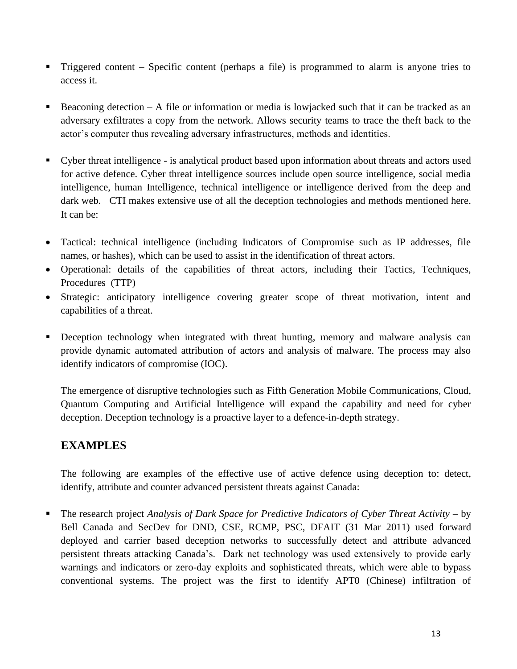- **Triggered content Specific content (perhaps a file) is programmed to alarm is anyone tries to** access it.
- Beaconing detection  $A$  file or information or media is lowjacked such that it can be tracked as an adversary exfiltrates a copy from the network. Allows security teams to trace the theft back to the actor's computer thus revealing adversary infrastructures, methods and identities.
- Cyber threat intelligence is analytical product based upon information about threats and actors used for active defence. Cyber threat intelligence sources include open source intelligence, social media intelligence, human Intelligence, technical intelligence or intelligence derived from the deep and dark web. CTI makes extensive use of all the deception technologies and methods mentioned here. It can be:
- Tactical: technical intelligence (including Indicators of Compromise such as IP addresses, file names, or hashes), which can be used to assist in the identification of threat actors.
- Operational: details of the capabilities of threat actors, including their Tactics, Techniques, Procedures (TTP)
- Strategic: anticipatory intelligence covering greater scope of threat motivation, intent and capabilities of a threat.
- **•** Deception technology when integrated with threat hunting, memory and malware analysis can provide dynamic automated attribution of actors and analysis of malware. The process may also identify indicators of compromise (IOC).

The emergence of disruptive technologies such as Fifth Generation Mobile Communications, Cloud, Quantum Computing and Artificial Intelligence will expand the capability and need for cyber deception. Deception technology is a proactive layer to a defence-in-depth strategy.

# **EXAMPLES**

The following are examples of the effective use of active defence using deception to: detect, identify, attribute and counter advanced persistent threats against Canada:

▪ The research project *Analysis of Dark Space for Predictive Indicators of Cyber Threat Activity* – by Bell Canada and SecDev for DND, CSE, RCMP, PSC, DFAIT (31 Mar 2011) used forward deployed and carrier based deception networks to successfully detect and attribute advanced persistent threats attacking Canada's. Dark net technology was used extensively to provide early warnings and indicators or zero-day exploits and sophisticated threats, which were able to bypass conventional systems. The project was the first to identify APT0 (Chinese) infiltration of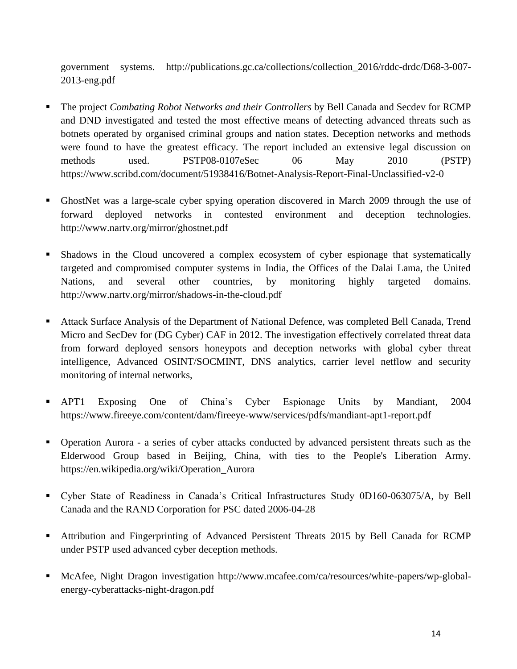government systems. http://publications.gc.ca/collections/collection\_2016/rddc-drdc/D68-3-007- 2013-eng.pdf

- The project *Combating Robot Networks and their Controllers* by Bell Canada and Secdev for RCMP and DND investigated and tested the most effective means of detecting advanced threats such as botnets operated by organised criminal groups and nation states. Deception networks and methods were found to have the greatest efficacy. The report included an extensive legal discussion on methods used. PSTP08-0107eSec 06 May 2010 (PSTP) https://www.scribd.com/document/51938416/Botnet-Analysis-Report-Final-Unclassified-v2-0
- GhostNet was a large-scale cyber spying operation discovered in March 2009 through the use of forward deployed networks in contested environment and deception technologies. http://www.nartv.org/mirror/ghostnet.pdf
- Shadows in the Cloud uncovered a complex ecosystem of cyber espionage that systematically targeted and compromised computer systems in India, the Offices of the Dalai Lama, the United Nations, and several other countries, by monitoring highly targeted domains. http://www.nartv.org/mirror/shadows-in-the-cloud.pdf
- Attack Surface Analysis of the Department of National Defence, was completed Bell Canada, Trend Micro and SecDev for (DG Cyber) CAF in 2012. The investigation effectively correlated threat data from forward deployed sensors honeypots and deception networks with global cyber threat intelligence, Advanced OSINT/SOCMINT, DNS analytics, carrier level netflow and security monitoring of internal networks,
- APT1 Exposing One of China's Cyber Espionage Units by Mandiant, 2004 https://www.fireeye.com/content/dam/fireeye-www/services/pdfs/mandiant-apt1-report.pdf
- Operation Aurora a series of cyber attacks conducted by advanced persistent threats such as the Elderwood Group based in Beijing, China, with ties to the People's Liberation Army. https://en.wikipedia.org/wiki/Operation\_Aurora
- Cyber State of Readiness in Canada's Critical Infrastructures Study 0D160-063075/A, by Bell Canada and the RAND Corporation for PSC dated 2006-04-28
- **EXECUTE:** Attribution and Fingerprinting of Advanced Persistent Threats 2015 by Bell Canada for RCMP under PSTP used advanced cyber deception methods.
- McAfee, Night Dragon investigation http://www.mcafee.com/ca/resources/white-papers/wp-globalenergy-cyberattacks-night-dragon.pdf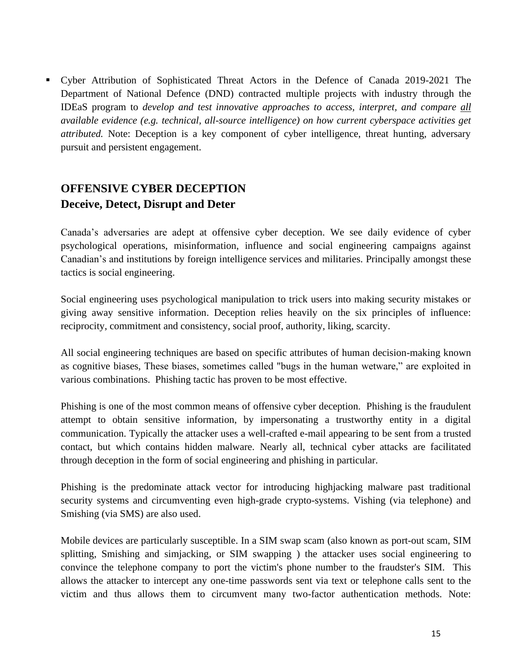▪ Cyber Attribution of Sophisticated Threat Actors in the Defence of Canada 2019-2021 The Department of National Defence (DND) contracted multiple projects with industry through the IDEaS program to *develop and test innovative approaches to access, interpret, and compare all available evidence (e.g. technical, all-source intelligence) on how current cyberspace activities get attributed.* Note: Deception is a key component of cyber intelligence, threat hunting, adversary pursuit and persistent engagement.

# **OFFENSIVE CYBER DECEPTION Deceive, Detect, Disrupt and Deter**

Canada's adversaries are adept at offensive cyber deception. We see daily evidence of cyber psychological operations, misinformation, influence and social engineering campaigns against Canadian's and institutions by foreign intelligence services and militaries. Principally amongst these tactics is social engineering.

Social engineering uses psychological manipulation to trick users into making security mistakes or giving away sensitive information. Deception relies heavily on the six principles of influence: reciprocity, commitment and consistency, social proof, authority, liking, scarcity.

All social engineering techniques are based on specific attributes of human decision-making known as cognitive biases, These biases, sometimes called "bugs in the human wetware," are exploited in various combinations. Phishing tactic has proven to be most effective.

Phishing is one of the most common means of offensive cyber deception. Phishing is the fraudulent attempt to obtain sensitive information, by impersonating a trustworthy entity in a digital communication. Typically the attacker uses a well-crafted e-mail appearing to be sent from a trusted contact, but which contains hidden malware. Nearly all, technical cyber attacks are facilitated through deception in the form of social engineering and phishing in particular.

Phishing is the predominate attack vector for introducing highjacking malware past traditional security systems and circumventing even high-grade crypto-systems. Vishing (via telephone) and Smishing (via SMS) are also used.

Mobile devices are particularly susceptible. In a SIM swap scam (also known as port-out scam, SIM splitting, Smishing and simjacking, or SIM swapping ) the attacker uses social engineering to convince the telephone company to port the victim's phone number to the fraudster's SIM. This allows the attacker to intercept any one-time passwords sent via text or telephone calls sent to the victim and thus allows them to circumvent many two-factor authentication methods. Note: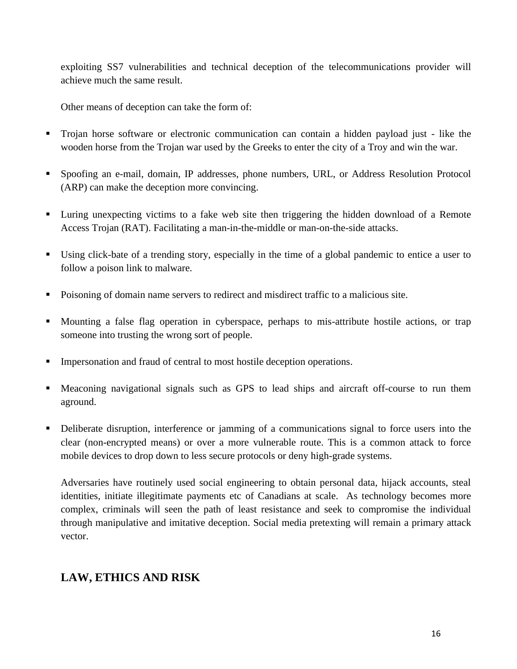exploiting SS7 vulnerabilities and technical deception of the telecommunications provider will achieve much the same result.

Other means of deception can take the form of:

- Trojan horse software or electronic communication can contain a hidden payload just like the wooden horse from the Trojan war used by the Greeks to enter the city of a Troy and win the war.
- Spoofing an e-mail, domain, IP addresses, phone numbers, URL, or Address Resolution Protocol (ARP) can make the deception more convincing.
- Luring unexpecting victims to a fake web site then triggering the hidden download of a Remote Access Trojan (RAT). Facilitating a man-in-the-middle or man-on-the-side attacks.
- Using click-bate of a trending story, especially in the time of a global pandemic to entice a user to follow a poison link to malware.
- Poisoning of domain name servers to redirect and misdirect traffic to a malicious site.
- Mounting a false flag operation in cyberspace, perhaps to mis-attribute hostile actions, or trap someone into trusting the wrong sort of people.
- **•** Impersonation and fraud of central to most hostile deception operations.
- Meaconing navigational signals such as GPS to lead ships and aircraft off-course to run them aground.
- **•** Deliberate disruption, interference or jamming of a communications signal to force users into the clear (non-encrypted means) or over a more vulnerable route. This is a common attack to force mobile devices to drop down to less secure protocols or deny high-grade systems.

Adversaries have routinely used social engineering to obtain personal data, hijack accounts, steal identities, initiate illegitimate payments etc of Canadians at scale. As technology becomes more complex, criminals will seen the path of least resistance and seek to compromise the individual through manipulative and imitative deception. Social media pretexting will remain a primary attack vector.

# **LAW, ETHICS AND RISK**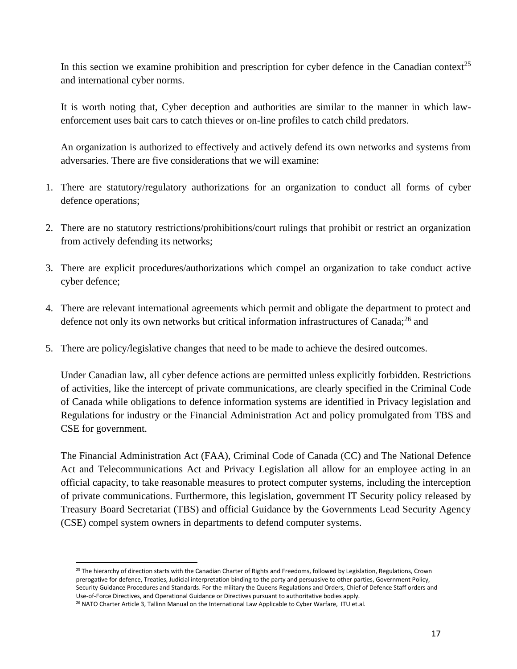In this section we examine prohibition and prescription for cyber defence in the Canadian context<sup>25</sup> and international cyber norms.

It is worth noting that, Cyber deception and authorities are similar to the manner in which lawenforcement uses bait cars to catch thieves or on-line profiles to catch child predators.

An organization is authorized to effectively and actively defend its own networks and systems from adversaries. There are five considerations that we will examine:

- 1. There are statutory/regulatory authorizations for an organization to conduct all forms of cyber defence operations;
- 2. There are no statutory restrictions/prohibitions/court rulings that prohibit or restrict an organization from actively defending its networks;
- 3. There are explicit procedures/authorizations which compel an organization to take conduct active cyber defence;
- 4. There are relevant international agreements which permit and obligate the department to protect and defence not only its own networks but critical information infrastructures of Canada;<sup>26</sup> and
- 5. There are policy/legislative changes that need to be made to achieve the desired outcomes.

Under Canadian law, all cyber defence actions are permitted unless explicitly forbidden. Restrictions of activities, like the intercept of private communications, are clearly specified in the Criminal Code of Canada while obligations to defence information systems are identified in Privacy legislation and Regulations for industry or the Financial Administration Act and policy promulgated from TBS and CSE for government.

The Financial Administration Act (FAA), Criminal Code of Canada (CC) and The National Defence Act and Telecommunications Act and Privacy Legislation all allow for an employee acting in an official capacity, to take reasonable measures to protect computer systems, including the interception of private communications. Furthermore, this legislation, government IT Security policy released by Treasury Board Secretariat (TBS) and official Guidance by the Governments Lead Security Agency (CSE) compel system owners in departments to defend computer systems.

<sup>&</sup>lt;sup>25</sup> The hierarchy of direction starts with the Canadian Charter of Rights and Freedoms, followed by Legislation, Regulations, Crown prerogative for defence, Treaties, Judicial interpretation binding to the party and persuasive to other parties, Government Policy, Security Guidance Procedures and Standards. For the military the Queens Regulations and Orders, Chief of Defence Staff orders and Use-of-Force Directives, and Operational Guidance or Directives pursuant to authoritative bodies apply.

<sup>&</sup>lt;sup>26</sup> NATO Charter Article 3, Tallinn Manual on the International Law Applicable to Cyber Warfare, ITU et.al.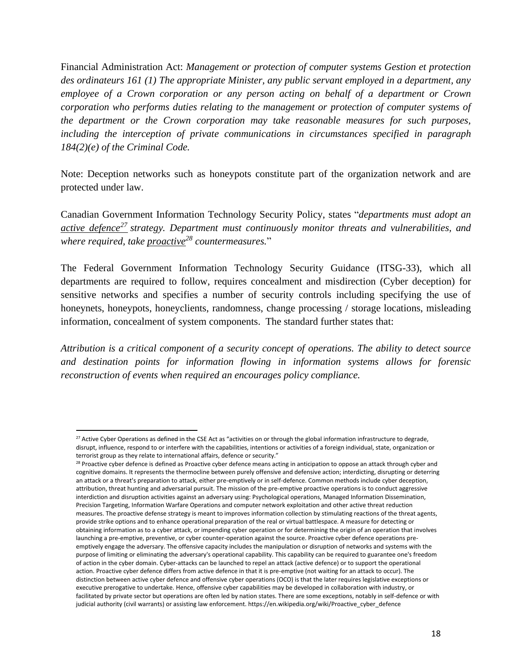Financial Administration Act: *Management or protection of computer systems Gestion et protection des ordinateurs 161 (1) The appropriate Minister, any public servant employed in a department, any employee of a Crown corporation or any person acting on behalf of a department or Crown corporation who performs duties relating to the management or protection of computer systems of the department or the Crown corporation may take reasonable measures for such purposes, including the interception of private communications in circumstances specified in paragraph 184(2)(e) of the Criminal Code.*

Note: Deception networks such as honeypots constitute part of the organization network and are protected under law.

Canadian Government Information Technology Security Policy, states "*departments must adopt an active defence<sup>27</sup> strategy. Department must continuously monitor threats and vulnerabilities, and where required, take proactive<sup>28</sup> countermeasures.*"

The Federal Government Information Technology Security Guidance (ITSG-33), which all departments are required to follow, requires concealment and misdirection (Cyber deception) for sensitive networks and specifies a number of security controls including specifying the use of honeynets, honeypots, honeyclients, randomness, change processing / storage locations, misleading information, concealment of system components. The standard further states that:

*Attribution is a critical component of a security concept of operations. The ability to detect source and destination points for information flowing in information systems allows for forensic reconstruction of events when required an encourages policy compliance.*

<sup>&</sup>lt;sup>27</sup> Active Cyber Operations as defined in the CSE Act as "activities on or through the global information infrastructure to degrade, disrupt, influence, respond to or interfere with the capabilities, intentions or activities of a foreign individual, state, organization or terrorist group as they relate to international affairs, defence or security."

<sup>&</sup>lt;sup>28</sup> Proactive cyber defence is defined as Proactive cyber defence means acting in anticipation to oppose an attack through cyber and cognitive domains. It represents the thermocline between purely offensive and defensive action; interdicting, disrupting or deterring an attack or a threat's preparation to attack, either pre-emptively or in self-defence. Common methods include cyber deception, attribution, threat hunting and adversarial pursuit. The mission of the pre-emptive proactive operations is to conduct aggressive interdiction and disruption activities against an adversary using: Psychological operations, Managed Information Dissemination, Precision Targeting, Information Warfare Operations and computer network exploitation and other active threat reduction measures. The proactive defense strategy is meant to improves information collection by stimulating reactions of the threat agents, provide strike options and to enhance operational preparation of the real or virtual battlespace. A measure for detecting or obtaining information as to a cyber attack, or impending cyber operation or for determining the origin of an operation that involves launching a pre-emptive, preventive, or cyber counter-operation against the source. Proactive cyber defence operations preemptively engage the adversary. The offensive capacity includes the manipulation or disruption of networks and systems with the purpose of limiting or eliminating the adversary's operational capability. This capability can be required to guarantee one's freedom of action in the cyber domain. Cyber-attacks can be launched to repel an attack (active defence) or to support the operational action. Proactive cyber defence differs from active defence in that it is pre-emptive (not waiting for an attack to occur). The distinction between active cyber defence and offensive cyber operations (OCO) is that the later requires legislative exceptions or executive prerogative to undertake. Hence, offensive cyber capabilities may be developed in collaboration with industry, or facilitated by private sector but operations are often led by nation states. There are some exceptions, notably in self-defence or with judicial authority (civil warrants) or assisting law enforcement. https://en.wikipedia.org/wiki/Proactive\_cyber\_defence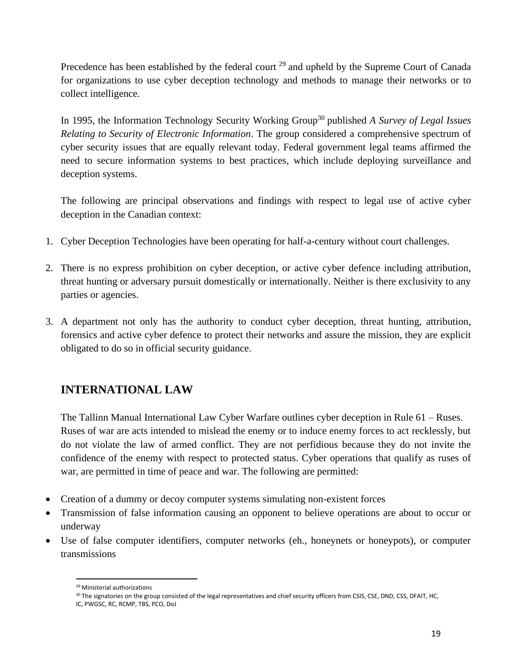Precedence has been established by the federal court <sup>29</sup> and upheld by the Supreme Court of Canada for organizations to use cyber deception technology and methods to manage their networks or to collect intelligence.

In 1995, the Information Technology Security Working Group<sup>30</sup> published *A Survey of Legal Issues Relating to Security of Electronic Information*. The group considered a comprehensive spectrum of cyber security issues that are equally relevant today. Federal government legal teams affirmed the need to secure information systems to best practices, which include deploying surveillance and deception systems.

The following are principal observations and findings with respect to legal use of active cyber deception in the Canadian context:

- 1. Cyber Deception Technologies have been operating for half-a-century without court challenges.
- 2. There is no express prohibition on cyber deception, or active cyber defence including attribution, threat hunting or adversary pursuit domestically or internationally. Neither is there exclusivity to any parties or agencies.
- 3. A department not only has the authority to conduct cyber deception, threat hunting, attribution, forensics and active cyber defence to protect their networks and assure the mission, they are explicit obligated to do so in official security guidance.

# **INTERNATIONAL LAW**

The Tallinn Manual International Law Cyber Warfare outlines cyber deception in Rule 61 – Ruses. Ruses of war are acts intended to mislead the enemy or to induce enemy forces to act recklessly, but do not violate the law of armed conflict. They are not perfidious because they do not invite the confidence of the enemy with respect to protected status. Cyber operations that qualify as ruses of war, are permitted in time of peace and war. The following are permitted:

- Creation of a dummy or decoy computer systems simulating non-existent forces
- Transmission of false information causing an opponent to believe operations are about to occur or underway
- Use of false computer identifiers, computer networks (eh., honeynets or honeypots), or computer transmissions

<sup>29</sup> Ministerial authorizations

<sup>30</sup> The signatories on the group consisted of the legal representatives and chief security officers from CSIS, CSE, DND, CSS, DFAIT, HC, IC, PWGSC, RC, RCMP, TBS, PCO, DoJ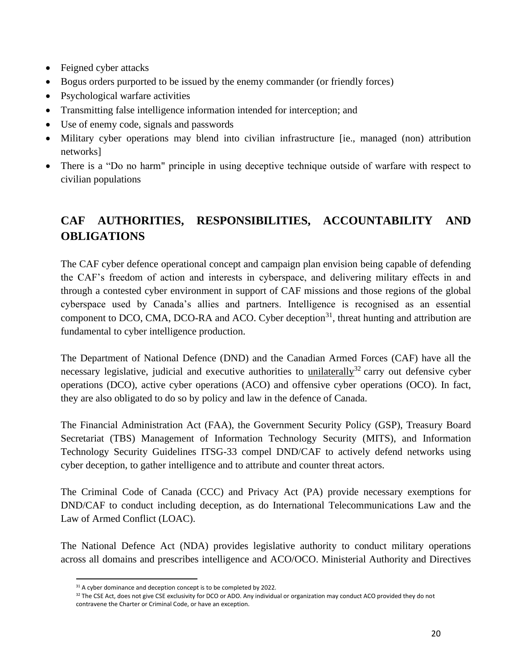- Feigned cyber attacks
- Bogus orders purported to be issued by the enemy commander (or friendly forces)
- Psychological warfare activities
- Transmitting false intelligence information intended for interception; and
- Use of enemy code, signals and passwords
- Military cyber operations may blend into civilian infrastructure [ie., managed (non) attribution networks]
- There is a "Do no harm" principle in using deceptive technique outside of warfare with respect to civilian populations

# **CAF AUTHORITIES, RESPONSIBILITIES, ACCOUNTABILITY AND OBLIGATIONS**

The CAF cyber defence operational concept and campaign plan envision being capable of defending the CAF's freedom of action and interests in cyberspace, and delivering military effects in and through a contested cyber environment in support of CAF missions and those regions of the global cyberspace used by Canada's allies and partners. Intelligence is recognised as an essential component to DCO, CMA, DCO-RA and ACO. Cyber deception<sup>31</sup>, threat hunting and attribution are fundamental to cyber intelligence production.

The Department of National Defence (DND) and the Canadian Armed Forces (CAF) have all the necessary legislative, judicial and executive authorities to unilaterally<sup>32</sup> carry out defensive cyber operations (DCO), active cyber operations (ACO) and offensive cyber operations (OCO). In fact, they are also obligated to do so by policy and law in the defence of Canada.

The Financial Administration Act (FAA), the Government Security Policy (GSP), Treasury Board Secretariat (TBS) Management of Information Technology Security (MITS), and Information Technology Security Guidelines ITSG-33 compel DND/CAF to actively defend networks using cyber deception, to gather intelligence and to attribute and counter threat actors.

The Criminal Code of Canada (CCC) and Privacy Act (PA) provide necessary exemptions for DND/CAF to conduct including deception, as do International Telecommunications Law and the Law of Armed Conflict (LOAC).

The National Defence Act (NDA) provides legislative authority to conduct military operations across all domains and prescribes intelligence and ACO/OCO. Ministerial Authority and Directives

<sup>&</sup>lt;sup>31</sup> A cyber dominance and deception concept is to be completed by 2022.

<sup>&</sup>lt;sup>32</sup> The CSE Act, does not give CSE exclusivity for DCO or ADO. Any individual or organization may conduct ACO provided they do not contravene the Charter or Criminal Code, or have an exception.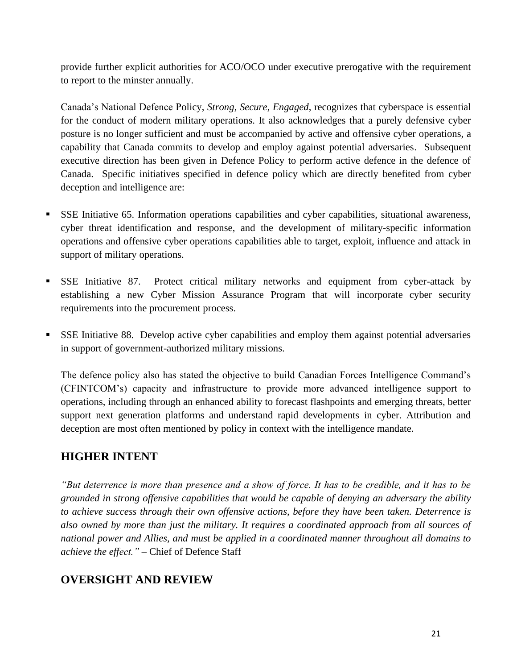provide further explicit authorities for ACO/OCO under executive prerogative with the requirement to report to the minster annually.

Canada's National Defence Policy, *Strong, Secure, Engaged*, recognizes that cyberspace is essential for the conduct of modern military operations. It also acknowledges that a purely defensive cyber posture is no longer sufficient and must be accompanied by active and offensive cyber operations, a capability that Canada commits to develop and employ against potential adversaries. Subsequent executive direction has been given in Defence Policy to perform active defence in the defence of Canada. Specific initiatives specified in defence policy which are directly benefited from cyber deception and intelligence are:

- SSE Initiative 65. Information operations capabilities and cyber capabilities, situational awareness, cyber threat identification and response, and the development of military-specific information operations and offensive cyber operations capabilities able to target, exploit, influence and attack in support of military operations.
- **EXEXE** Initiative 87. Protect critical military networks and equipment from cyber-attack by establishing a new Cyber Mission Assurance Program that will incorporate cyber security requirements into the procurement process.
- SSE Initiative 88. Develop active cyber capabilities and employ them against potential adversaries in support of government-authorized military missions.

The defence policy also has stated the objective to build Canadian Forces Intelligence Command's (CFINTCOM's) capacity and infrastructure to provide more advanced intelligence support to operations, including through an enhanced ability to forecast flashpoints and emerging threats, better support next generation platforms and understand rapid developments in cyber. Attribution and deception are most often mentioned by policy in context with the intelligence mandate.

# **HIGHER INTENT**

*"But deterrence is more than presence and a show of force. It has to be credible, and it has to be grounded in strong offensive capabilities that would be capable of denying an adversary the ability to achieve success through their own offensive actions, before they have been taken. Deterrence is also owned by more than just the military. It requires a coordinated approach from all sources of national power and Allies, and must be applied in a coordinated manner throughout all domains to achieve the effect."* – Chief of Defence Staff

# **OVERSIGHT AND REVIEW**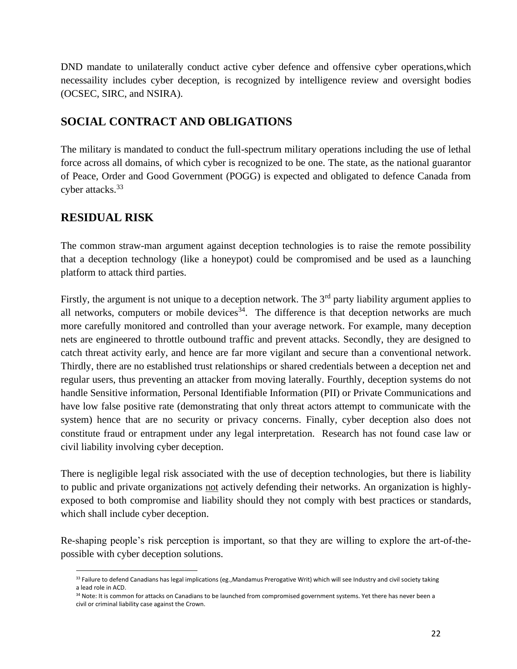DND mandate to unilaterally conduct active cyber defence and offensive cyber operations,which necessaility includes cyber deception, is recognized by intelligence review and oversight bodies (OCSEC, SIRC, and NSIRA).

# **SOCIAL CONTRACT AND OBLIGATIONS**

The military is mandated to conduct the full-spectrum military operations including the use of lethal force across all domains, of which cyber is recognized to be one. The state, as the national guarantor of Peace, Order and Good Government (POGG) is expected and obligated to defence Canada from cyber attacks.<sup>33</sup>

# **RESIDUAL RISK**

The common straw-man argument against deception technologies is to raise the remote possibility that a deception technology (like a honeypot) could be compromised and be used as a launching platform to attack third parties.

Firstly, the argument is not unique to a deception network. The 3<sup>rd</sup> party liability argument applies to all networks, computers or mobile devices<sup>34</sup>. The difference is that deception networks are much more carefully monitored and controlled than your average network. For example, many deception nets are engineered to throttle outbound traffic and prevent attacks. Secondly, they are designed to catch threat activity early, and hence are far more vigilant and secure than a conventional network. Thirdly, there are no established trust relationships or shared credentials between a deception net and regular users, thus preventing an attacker from moving laterally. Fourthly, deception systems do not handle Sensitive information, Personal Identifiable Information (PII) or Private Communications and have low false positive rate (demonstrating that only threat actors attempt to communicate with the system) hence that are no security or privacy concerns. Finally, cyber deception also does not constitute fraud or entrapment under any legal interpretation. Research has not found case law or civil liability involving cyber deception.

There is negligible legal risk associated with the use of deception technologies, but there is liability to public and private organizations not actively defending their networks. An organization is highlyexposed to both compromise and liability should they not comply with best practices or standards, which shall include cyber deception.

Re-shaping people's risk perception is important, so that they are willing to explore the art-of-thepossible with cyber deception solutions.

<sup>33</sup> Failure to defend Canadians has legal implications (eg., Mandamus Prerogative Writ) which will see Industry and civil society taking a lead role in ACD.

<sup>34</sup> Note: It is common for attacks on Canadians to be launched from compromised government systems. Yet there has never been a civil or criminal liability case against the Crown.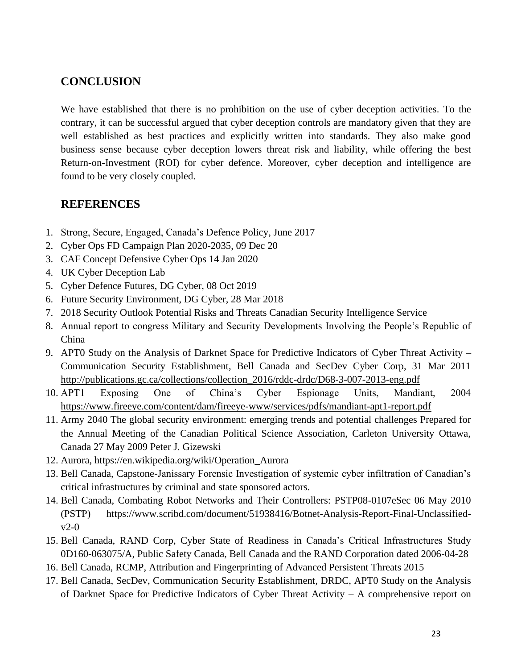#### **CONCLUSION**

We have established that there is no prohibition on the use of cyber deception activities. To the contrary, it can be successful argued that cyber deception controls are mandatory given that they are well established as best practices and explicitly written into standards. They also make good business sense because cyber deception lowers threat risk and liability, while offering the best Return-on-Investment (ROI) for cyber defence. Moreover, cyber deception and intelligence are found to be very closely coupled.

#### **REFERENCES**

- 1. Strong, Secure, Engaged, Canada's Defence Policy, June 2017
- 2. Cyber Ops FD Campaign Plan 2020-2035, 09 Dec 20
- 3. CAF Concept Defensive Cyber Ops 14 Jan 2020
- 4. UK Cyber Deception Lab
- 5. Cyber Defence Futures, DG Cyber, 08 Oct 2019
- 6. Future Security Environment, DG Cyber, 28 Mar 2018
- 7. 2018 Security Outlook Potential Risks and Threats Canadian Security Intelligence Service
- 8. Annual report to congress Military and Security Developments Involving the People's Republic of China
- 9. APT0 Study on the Analysis of Darknet Space for Predictive Indicators of Cyber Threat Activity Communication Security Establishment, Bell Canada and SecDev Cyber Corp, 31 Mar 2011 [http://publications.gc.ca/collections/collection\\_2016/rddc-drdc/D68-3-007-2013-eng.pdf](http://publications.gc.ca/collections/collection_2016/rddc-drdc/D68-3-007-2013-eng.pdf)
- 10. APT1 Exposing One of China's Cyber Espionage Units, Mandiant, 2004 <https://www.fireeye.com/content/dam/fireeye-www/services/pdfs/mandiant-apt1-report.pdf>
- 11. Army 2040 The global security environment: emerging trends and potential challenges Prepared for the Annual Meeting of the Canadian Political Science Association, Carleton University Ottawa, Canada 27 May 2009 Peter J. Gizewski
- 12. Aurora, [https://en.wikipedia.org/wiki/Operation\\_Aurora](https://en.wikipedia.org/wiki/Operation_Aurora)
- 13. Bell Canada, Capstone-Janissary Forensic Investigation of systemic cyber infiltration of Canadian's critical infrastructures by criminal and state sponsored actors.
- 14. Bell Canada, Combating Robot Networks and Their Controllers: PSTP08-0107eSec 06 May 2010 (PSTP) https://www.scribd.com/document/51938416/Botnet-Analysis-Report-Final-Unclassified $v2-0$
- 15. Bell Canada, RAND Corp, Cyber State of Readiness in Canada's Critical Infrastructures Study 0D160-063075/A, Public Safety Canada, Bell Canada and the RAND Corporation dated 2006-04-28
- 16. Bell Canada, RCMP, Attribution and Fingerprinting of Advanced Persistent Threats 2015
- 17. Bell Canada, SecDev, Communication Security Establishment, DRDC, APT0 Study on the Analysis of Darknet Space for Predictive Indicators of Cyber Threat Activity – A comprehensive report on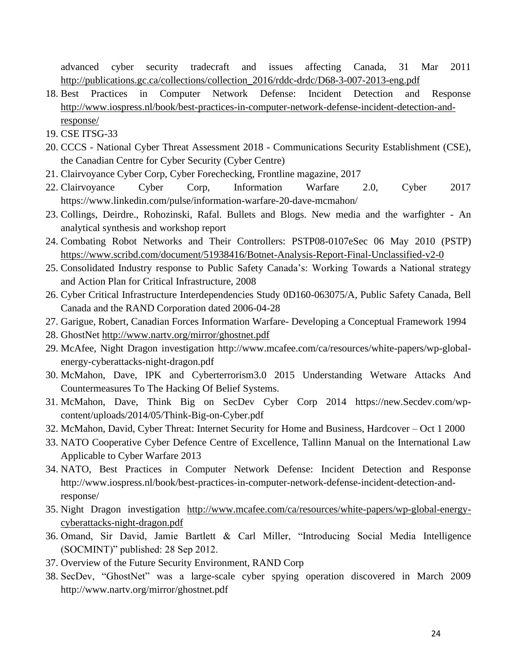advanced cyber security tradecraft and issues affecting Canada, 31 Mar 2011 [http://publications.gc.ca/collections/collection\\_2016/rddc-drdc/D68-3-007-2013-eng.pdf](http://publications.gc.ca/collections/collection_2016/rddc-drdc/D68-3-007-2013-eng.pdf)

- 18. Best Practices in Computer Network Defense: Incident Detection and Response [http://www.iospress.nl/book/best-practices-in-computer-network-defense-incident-detection-and](http://www.iospress.nl/book/best-practices-in-computer-network-defense-incident-detection-and-response/)[response/](http://www.iospress.nl/book/best-practices-in-computer-network-defense-incident-detection-and-response/)
- 19. CSE ITSG-33
- 20. CCCS National Cyber Threat Assessment 2018 Communications Security Establishment (CSE), the Canadian Centre for Cyber Security (Cyber Centre)
- 21. Clairvoyance Cyber Corp, Cyber Forechecking, Frontline magazine, 2017
- 22. Clairvoyance Cyber Corp, Information Warfare 2.0, Cyber 2017 https://www.linkedin.com/pulse/information-warfare-20-dave-mcmahon/
- 23. Collings, Deirdre., Rohozinski, Rafal. Bullets and Blogs. New media and the warfighter An analytical synthesis and workshop report
- 24. Combating Robot Networks and Their Controllers: PSTP08-0107eSec 06 May 2010 (PSTP) <https://www.scribd.com/document/51938416/Botnet-Analysis-Report-Final-Unclassified-v2-0>
- 25. Consolidated Industry response to Public Safety Canada's: Working Towards a National strategy and Action Plan for Critical Infrastructure, 2008
- 26. Cyber Critical Infrastructure Interdependencies Study 0D160-063075/A, Public Safety Canada, Bell Canada and the RAND Corporation dated 2006-04-28
- 27. Garigue, Robert, Canadian Forces Information Warfare- Developing a Conceptual Framework 1994
- 28. GhostNet<http://www.nartv.org/mirror/ghostnet.pdf>
- 29. McAfee, Night Dragon investigation http://www.mcafee.com/ca/resources/white-papers/wp-globalenergy-cyberattacks-night-dragon.pdf
- 30. McMahon, Dave, IPK and Cyberterrorism3.0 2015 Understanding Wetware Attacks And Countermeasures To The Hacking Of Belief Systems.
- 31. McMahon, Dave, Think Big on SecDev Cyber Corp 2014 https://new.Secdev.com/wpcontent/uploads/2014/05/Think-Big-on-Cyber.pdf
- 32. McMahon, David, Cyber Threat: Internet Security for Home and Business, Hardcover Oct 1 2000
- 33. NATO Cooperative Cyber Defence Centre of Excellence, Tallinn Manual on the International Law Applicable to Cyber Warfare 2013
- 34. NATO, Best Practices in Computer Network Defense: Incident Detection and Response http://www.iospress.nl/book/best-practices-in-computer-network-defense-incident-detection-andresponse/
- 35. Night Dragon investigation [http://www.mcafee.com/ca/resources/white-papers/wp-global-energy](http://www.mcafee.com/ca/resources/white-papers/wp-global-energy-cyberattacks-night-dragon.pdf)[cyberattacks-night-dragon.pdf](http://www.mcafee.com/ca/resources/white-papers/wp-global-energy-cyberattacks-night-dragon.pdf)
- 36. Omand, Sir David, Jamie Bartlett & Carl Miller, "Introducing Social Media Intelligence (SOCMINT)" published: 28 Sep 2012.
- 37. Overview of the Future Security Environment, RAND Corp
- 38. SecDev, "GhostNet" was a large-scale cyber spying operation discovered in March 2009 http://www.nartv.org/mirror/ghostnet.pdf